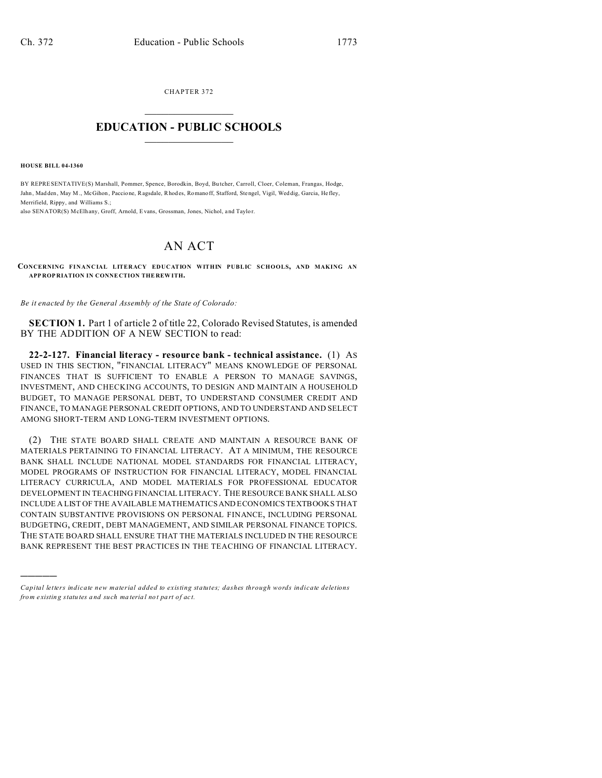CHAPTER 372  $\overline{\phantom{a}}$  , where  $\overline{\phantom{a}}$ 

## **EDUCATION - PUBLIC SCHOOLS**  $\_$   $\_$   $\_$   $\_$   $\_$   $\_$   $\_$   $\_$   $\_$

**HOUSE BILL 04-1360**

)))))

BY REPRESENTATIVE(S) Marshall, Pommer, Spence, Borodkin, Boyd, Bu tcher, Carroll, Cloer, Coleman, Frangas, Hodge, Jahn, Mad den, May M., McGihon , Paccione, Ragsdale, Rhod es, Romanoff, Stafford, Stengel, Vigil, Wed dig, Garcia, Hefley, Merrifield, Rippy, and Williams S.;

also SENATOR(S) McElhany, Groff, Arnold, Evans, Grossman, Jones, Nichol, and Taylo r.

## AN ACT

**CONCERNING FINANCIAL LITERACY EDUCATION WITHIN PUBLIC SCHOOLS, AND MAKING AN APP ROP RIATION IN CONNE CTION THE REW ITH.**

*Be it enacted by the General Assembly of the State of Colorado:*

**SECTION 1.** Part 1 of article 2 of title 22, Colorado Revised Statutes, is amended BY THE ADDITION OF A NEW SECTION to read:

**22-2-127. Financial literacy - resource bank - technical assistance.** (1) AS USED IN THIS SECTION, "FINANCIAL LITERACY" MEANS KNOWLEDGE OF PERSONAL FINANCES THAT IS SUFFICIENT TO ENABLE A PERSON TO MANAGE SAVINGS, INVESTMENT, AND CHECKING ACCOUNTS, TO DESIGN AND MAINTAIN A HOUSEHOLD BUDGET, TO MANAGE PERSONAL DEBT, TO UNDERSTAND CONSUMER CREDIT AND FINANCE, TO MANAGE PERSONAL CREDIT OPTIONS, AND TO UNDERSTAND AND SELECT AMONG SHORT-TERM AND LONG-TERM INVESTMENT OPTIONS.

(2) THE STATE BOARD SHALL CREATE AND MAINTAIN A RESOURCE BANK OF MATERIALS PERTAINING TO FINANCIAL LITERACY. AT A MINIMUM, THE RESOURCE BANK SHALL INCLUDE NATIONAL MODEL STANDARDS FOR FINANCIAL LITERACY, MODEL PROGRAMS OF INSTRUCTION FOR FINANCIAL LITERACY, MODEL FINANCIAL LITERACY CURRICULA, AND MODEL MATERIALS FOR PROFESSIONAL EDUCATOR DEVELOPMENT IN TEACHING FINANCIAL LITERACY. THE RESOURCE BANK SHALL ALSO INCLUDE A LIST OF THE AVAILABLE MATHEMATICS AND ECONOMICS TEXTBOOKS THAT CONTAIN SUBSTANTIVE PROVISIONS ON PERSONAL FINANCE, INCLUDING PERSONAL BUDGETING, CREDIT, DEBT MANAGEMENT, AND SIMILAR PERSONAL FINANCE TOPICS. THE STATE BOARD SHALL ENSURE THAT THE MATERIALS INCLUDED IN THE RESOURCE BANK REPRESENT THE BEST PRACTICES IN THE TEACHING OF FINANCIAL LITERACY.

*Capital letters indicate new material added to existing statutes; dashes through words indicate deletions from e xistin g statu tes a nd such ma teria l no t pa rt of ac t.*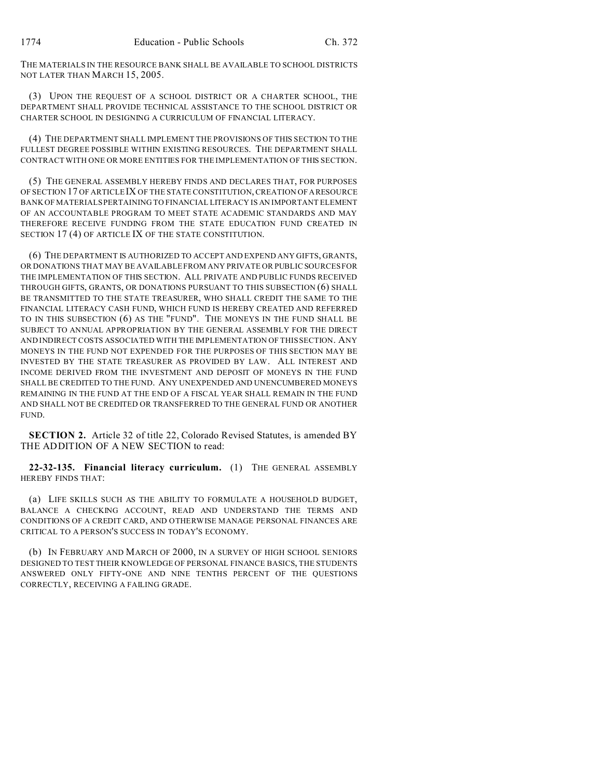THE MATERIALS IN THE RESOURCE BANK SHALL BE AVAILABLE TO SCHOOL DISTRICTS NOT LATER THAN MARCH 15, 2005.

(3) UPON THE REQUEST OF A SCHOOL DISTRICT OR A CHARTER SCHOOL, THE DEPARTMENT SHALL PROVIDE TECHNICAL ASSISTANCE TO THE SCHOOL DISTRICT OR CHARTER SCHOOL IN DESIGNING A CURRICULUM OF FINANCIAL LITERACY.

(4) THE DEPARTMENT SHALL IMPLEMENT THE PROVISIONS OF THIS SECTION TO THE FULLEST DEGREE POSSIBLE WITHIN EXISTING RESOURCES. THE DEPARTMENT SHALL CONTRACT WITH ONE OR MORE ENTITIES FOR THE IMPLEMENTATION OF THIS SECTION.

(5) THE GENERAL ASSEMBLY HEREBY FINDS AND DECLARES THAT, FOR PURPOSES OF SECTION 17 OF ARTICLE IX OF THE STATE CONSTITUTION, CREATION OF ARESOURCE BANK OF MATERIALS PERTAINING TO FINANCIAL LITERACY IS AN IMPORTANT ELEMENT OF AN ACCOUNTABLE PROGRAM TO MEET STATE ACADEMIC STANDARDS AND MAY THEREFORE RECEIVE FUNDING FROM THE STATE EDUCATION FUND CREATED IN SECTION 17 (4) OF ARTICLE IX OF THE STATE CONSTITUTION.

(6) THE DEPARTMENT IS AUTHORIZED TO ACCEPT AND EXPEND ANY GIFTS, GRANTS, OR DONATIONS THAT MAY BE AVAILABLE FROM ANY PRIVATE OR PUBLIC SOURCES FOR THE IMPLEMENTATION OF THIS SECTION. ALL PRIVATE AND PUBLIC FUNDS RECEIVED THROUGH GIFTS, GRANTS, OR DONATIONS PURSUANT TO THIS SUBSECTION (6) SHALL BE TRANSMITTED TO THE STATE TREASURER, WHO SHALL CREDIT THE SAME TO THE FINANCIAL LITERACY CASH FUND, WHICH FUND IS HEREBY CREATED AND REFERRED TO IN THIS SUBSECTION (6) AS THE "FUND". THE MONEYS IN THE FUND SHALL BE SUBJECT TO ANNUAL APPROPRIATION BY THE GENERAL ASSEMBLY FOR THE DIRECT AND INDIRECT COSTS ASSOCIATED WITH THE IMPLEMENTATION OF THIS SECTION. ANY MONEYS IN THE FUND NOT EXPENDED FOR THE PURPOSES OF THIS SECTION MAY BE INVESTED BY THE STATE TREASURER AS PROVIDED BY LAW. ALL INTEREST AND INCOME DERIVED FROM THE INVESTMENT AND DEPOSIT OF MONEYS IN THE FUND SHALL BE CREDITED TO THE FUND. ANY UNEXPENDED AND UNENCUMBERED MONEYS REMAINING IN THE FUND AT THE END OF A FISCAL YEAR SHALL REMAIN IN THE FUND AND SHALL NOT BE CREDITED OR TRANSFERRED TO THE GENERAL FUND OR ANOTHER FUND.

**SECTION 2.** Article 32 of title 22, Colorado Revised Statutes, is amended BY THE ADDITION OF A NEW SECTION to read:

**22-32-135. Financial literacy curriculum.** (1) THE GENERAL ASSEMBLY HEREBY FINDS THAT:

(a) LIFE SKILLS SUCH AS THE ABILITY TO FORMULATE A HOUSEHOLD BUDGET, BALANCE A CHECKING ACCOUNT, READ AND UNDERSTAND THE TERMS AND CONDITIONS OF A CREDIT CARD, AND OTHERWISE MANAGE PERSONAL FINANCES ARE CRITICAL TO A PERSON'S SUCCESS IN TODAY'S ECONOMY.

(b) IN FEBRUARY AND MARCH OF 2000, IN A SURVEY OF HIGH SCHOOL SENIORS DESIGNED TO TEST THEIR KNOWLEDGE OF PERSONAL FINANCE BASICS, THE STUDENTS ANSWERED ONLY FIFTY-ONE AND NINE TENTHS PERCENT OF THE QUESTIONS CORRECTLY, RECEIVING A FAILING GRADE.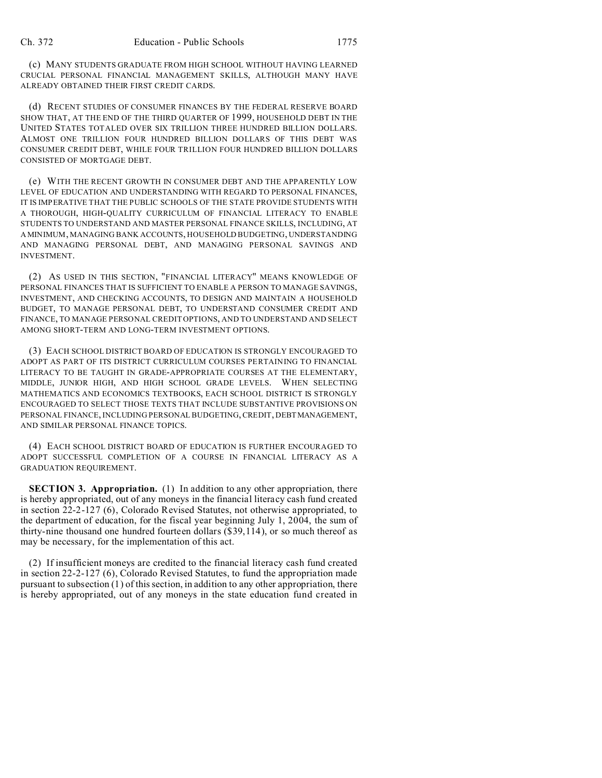(c) MANY STUDENTS GRADUATE FROM HIGH SCHOOL WITHOUT HAVING LEARNED CRUCIAL PERSONAL FINANCIAL MANAGEMENT SKILLS, ALTHOUGH MANY HAVE ALREADY OBTAINED THEIR FIRST CREDIT CARDS.

(d) RECENT STUDIES OF CONSUMER FINANCES BY THE FEDERAL RESERVE BOARD SHOW THAT, AT THE END OF THE THIRD QUARTER OF 1999, HOUSEHOLD DEBT IN THE UNITED STATES TOTALED OVER SIX TRILLION THREE HUNDRED BILLION DOLLARS. ALMOST ONE TRILLION FOUR HUNDRED BILLION DOLLARS OF THIS DEBT WAS CONSUMER CREDIT DEBT, WHILE FOUR TRILLION FOUR HUNDRED BILLION DOLLARS CONSISTED OF MORTGAGE DEBT.

(e) WITH THE RECENT GROWTH IN CONSUMER DEBT AND THE APPARENTLY LOW LEVEL OF EDUCATION AND UNDERSTANDING WITH REGARD TO PERSONAL FINANCES, IT IS IMPERATIVE THAT THE PUBLIC SCHOOLS OF THE STATE PROVIDE STUDENTS WITH A THOROUGH, HIGH-QUALITY CURRICULUM OF FINANCIAL LITERACY TO ENABLE STUDENTS TO UNDERSTAND AND MASTER PERSONAL FINANCE SKILLS, INCLUDING, AT A MINIMUM, MANAGING BANK ACCOUNTS, HOUSEHOLD BUDGETING, UNDERSTANDING AND MANAGING PERSONAL DEBT, AND MANAGING PERSONAL SAVINGS AND INVESTMENT.

(2) AS USED IN THIS SECTION, "FINANCIAL LITERACY" MEANS KNOWLEDGE OF PERSONAL FINANCES THAT IS SUFFICIENT TO ENABLE A PERSON TO MANAGE SAVINGS, INVESTMENT, AND CHECKING ACCOUNTS, TO DESIGN AND MAINTAIN A HOUSEHOLD BUDGET, TO MANAGE PERSONAL DEBT, TO UNDERSTAND CONSUMER CREDIT AND FINANCE, TO MANAGE PERSONAL CREDIT OPTIONS, AND TO UNDERSTAND AND SELECT AMONG SHORT-TERM AND LONG-TERM INVESTMENT OPTIONS.

(3) EACH SCHOOL DISTRICT BOARD OF EDUCATION IS STRONGLY ENCOURAGED TO ADOPT AS PART OF ITS DISTRICT CURRICULUM COURSES PERTAINING TO FINANCIAL LITERACY TO BE TAUGHT IN GRADE-APPROPRIATE COURSES AT THE ELEMENTARY, MIDDLE, JUNIOR HIGH, AND HIGH SCHOOL GRADE LEVELS. WHEN SELECTING MATHEMATICS AND ECONOMICS TEXTBOOKS, EACH SCHOOL DISTRICT IS STRONGLY ENCOURAGED TO SELECT THOSE TEXTS THAT INCLUDE SUBSTANTIVE PROVISIONS ON PERSONAL FINANCE, INCLUDING PERSONAL BUDGETING, CREDIT, DEBTMANAGEMENT, AND SIMILAR PERSONAL FINANCE TOPICS.

(4) EACH SCHOOL DISTRICT BOARD OF EDUCATION IS FURTHER ENCOURAGED TO ADOPT SUCCESSFUL COMPLETION OF A COURSE IN FINANCIAL LITERACY AS A GRADUATION REQUIREMENT.

**SECTION 3. Appropriation.** (1) In addition to any other appropriation, there is hereby appropriated, out of any moneys in the financial literacy cash fund created in section 22-2-127 (6), Colorado Revised Statutes, not otherwise appropriated, to the department of education, for the fiscal year beginning July 1, 2004, the sum of thirty-nine thousand one hundred fourteen dollars (\$39,114), or so much thereof as may be necessary, for the implementation of this act.

(2) If insufficient moneys are credited to the financial literacy cash fund created in section 22-2-127 (6), Colorado Revised Statutes, to fund the appropriation made pursuant to subsection (1) of this section, in addition to any other appropriation, there is hereby appropriated, out of any moneys in the state education fund created in